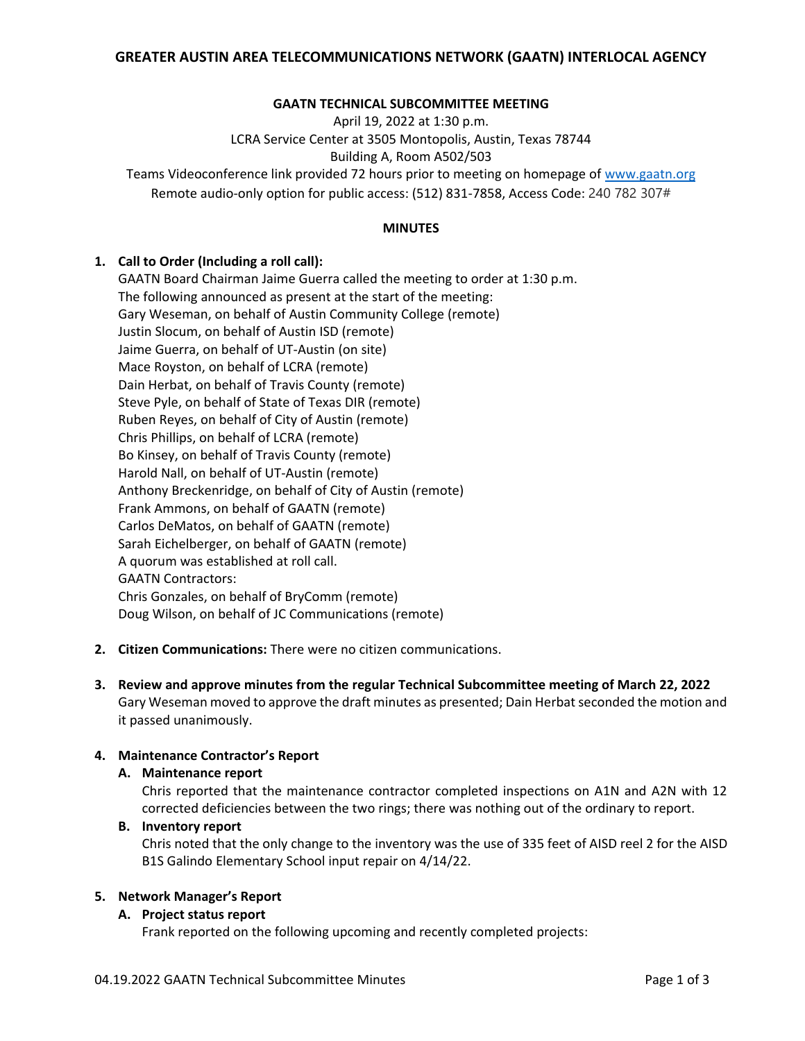### **GAATN TECHNICAL SUBCOMMITTEE MEETING**

April 19, 2022 at 1:30 p.m.

LCRA Service Center at 3505 Montopolis, Austin, Texas 78744

Building A, Room A502/503

Teams Videoconference link provided 72 hours prior to meeting on homepage of [www.gaatn.org](http://www.gaatn.org/) Remote audio-only option for public access: (512) 831-7858, Access Code: 240 782 307#

#### **MINUTES**

### **1. Call to Order (Including a roll call):**

GAATN Board Chairman Jaime Guerra called the meeting to order at 1:30 p.m. The following announced as present at the start of the meeting: Gary Weseman, on behalf of Austin Community College (remote) Justin Slocum, on behalf of Austin ISD (remote) Jaime Guerra, on behalf of UT-Austin (on site) Mace Royston, on behalf of LCRA (remote) Dain Herbat, on behalf of Travis County (remote) Steve Pyle, on behalf of State of Texas DIR (remote) Ruben Reyes, on behalf of City of Austin (remote) Chris Phillips, on behalf of LCRA (remote) Bo Kinsey, on behalf of Travis County (remote) Harold Nall, on behalf of UT-Austin (remote) Anthony Breckenridge, on behalf of City of Austin (remote) Frank Ammons, on behalf of GAATN (remote) Carlos DeMatos, on behalf of GAATN (remote) Sarah Eichelberger, on behalf of GAATN (remote) A quorum was established at roll call. GAATN Contractors: Chris Gonzales, on behalf of BryComm (remote) Doug Wilson, on behalf of JC Communications (remote)

- **2. Citizen Communications:** There were no citizen communications.
- **3. Review and approve minutes from the regular Technical Subcommittee meeting of March 22, 2022** Gary Weseman moved to approve the draft minutes as presented; Dain Herbat seconded the motion and it passed unanimously.

# **4. Maintenance Contractor's Report**

#### **A. Maintenance report**

Chris reported that the maintenance contractor completed inspections on A1N and A2N with 12 corrected deficiencies between the two rings; there was nothing out of the ordinary to report.

# **B. Inventory report**

Chris noted that the only change to the inventory was the use of 335 feet of AISD reel 2 for the AISD B1S Galindo Elementary School input repair on 4/14/22.

#### **5. Network Manager's Report**

# **A. Project status report**

Frank reported on the following upcoming and recently completed projects: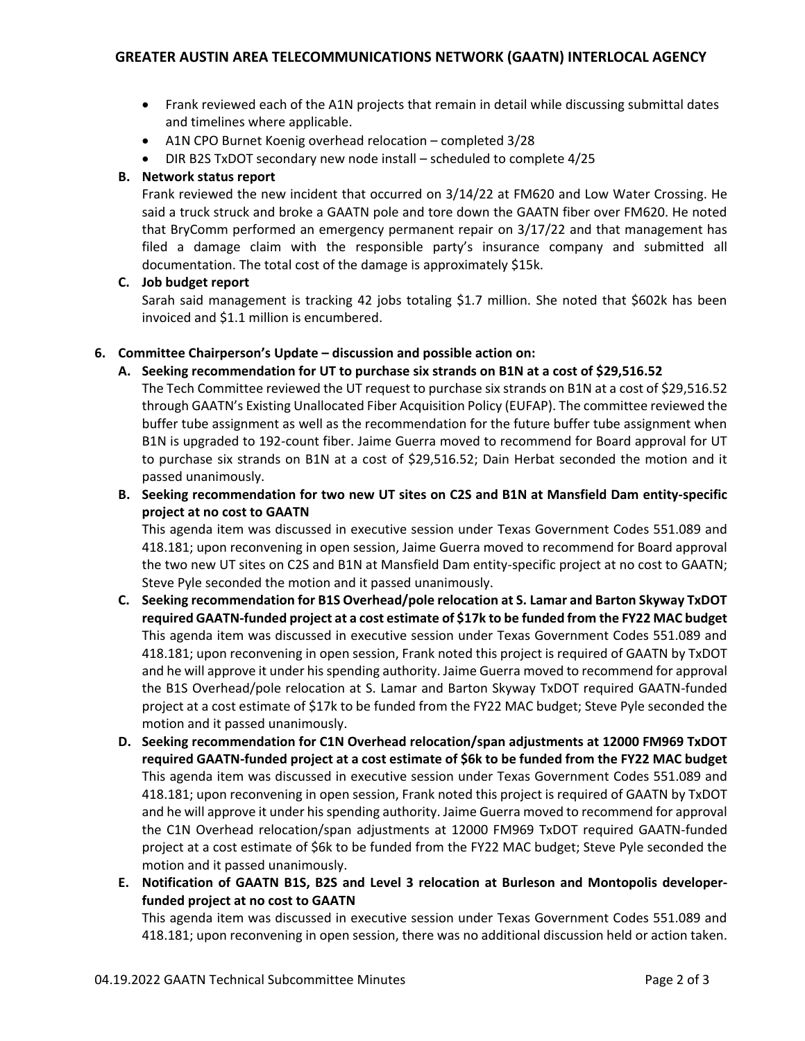- Frank reviewed each of the A1N projects that remain in detail while discussing submittal dates and timelines where applicable.
- A1N CPO Burnet Koenig overhead relocation completed 3/28
- DIR B2S TxDOT secondary new node install scheduled to complete 4/25

# **B. Network status report**

Frank reviewed the new incident that occurred on 3/14/22 at FM620 and Low Water Crossing. He said a truck struck and broke a GAATN pole and tore down the GAATN fiber over FM620. He noted that BryComm performed an emergency permanent repair on 3/17/22 and that management has filed a damage claim with the responsible party's insurance company and submitted all documentation. The total cost of the damage is approximately \$15k.

# **C. Job budget report**

Sarah said management is tracking 42 jobs totaling \$1.7 million. She noted that \$602k has been invoiced and \$1.1 million is encumbered.

### **6. Committee Chairperson's Update – discussion and possible action on:**

### **A. Seeking recommendation for UT to purchase six strands on B1N at a cost of \$29,516.52**

The Tech Committee reviewed the UT request to purchase six strands on B1N at a cost of \$29,516.52 through GAATN's Existing Unallocated Fiber Acquisition Policy (EUFAP). The committee reviewed the buffer tube assignment as well as the recommendation for the future buffer tube assignment when B1N is upgraded to 192-count fiber. Jaime Guerra moved to recommend for Board approval for UT to purchase six strands on B1N at a cost of \$29,516.52; Dain Herbat seconded the motion and it passed unanimously.

**B. Seeking recommendation for two new UT sites on C2S and B1N at Mansfield Dam entity-specific project at no cost to GAATN**

This agenda item was discussed in executive session under Texas Government Codes 551.089 and 418.181; upon reconvening in open session, Jaime Guerra moved to recommend for Board approval the two new UT sites on C2S and B1N at Mansfield Dam entity-specific project at no cost to GAATN; Steve Pyle seconded the motion and it passed unanimously.

- **C. Seeking recommendation for B1S Overhead/pole relocation at S. Lamar and Barton Skyway TxDOT required GAATN-funded project at a cost estimate of \$17k to be funded from the FY22 MAC budget** This agenda item was discussed in executive session under Texas Government Codes 551.089 and 418.181; upon reconvening in open session, Frank noted this project is required of GAATN by TxDOT and he will approve it under his spending authority. Jaime Guerra moved to recommend for approval the B1S Overhead/pole relocation at S. Lamar and Barton Skyway TxDOT required GAATN-funded project at a cost estimate of \$17k to be funded from the FY22 MAC budget; Steve Pyle seconded the motion and it passed unanimously.
- **D. Seeking recommendation for C1N Overhead relocation/span adjustments at 12000 FM969 TxDOT required GAATN-funded project at a cost estimate of \$6k to be funded from the FY22 MAC budget** This agenda item was discussed in executive session under Texas Government Codes 551.089 and 418.181; upon reconvening in open session, Frank noted this project is required of GAATN by TxDOT and he will approve it under his spending authority. Jaime Guerra moved to recommend for approval the C1N Overhead relocation/span adjustments at 12000 FM969 TxDOT required GAATN-funded project at a cost estimate of \$6k to be funded from the FY22 MAC budget; Steve Pyle seconded the motion and it passed unanimously.
- **E. Notification of GAATN B1S, B2S and Level 3 relocation at Burleson and Montopolis developerfunded project at no cost to GAATN**

This agenda item was discussed in executive session under Texas Government Codes 551.089 and 418.181; upon reconvening in open session, there was no additional discussion held or action taken.